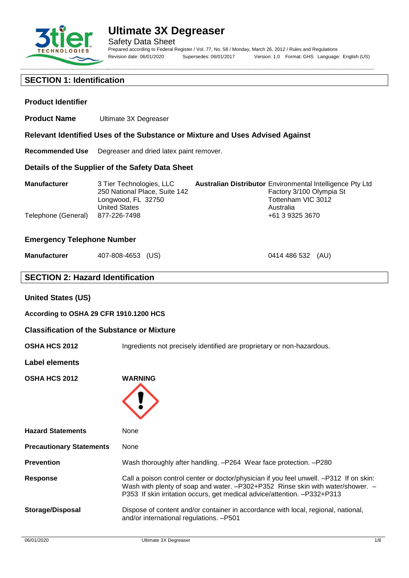

Safety Data Sheet Prepared according to Federal Register / Vol. 77, No. 58 / Monday, March 26, 2012 / Rules and Regulations Revision date: 06/01/2020 Supersedes: 06/01/2017 Version: 1.0 Format: GHS Language: English (US)

## **SECTION 1: Identification**

### **Product Identifier**

**Product Name** Ultimate 3X Degreaser

**Relevant Identified Uses of the Substance or Mixture and Uses Advised Against**

**Recommended Use** Degreaser and dried latex paint remover.

### **Details of the Supplier of the Safety Data Sheet**

| <b>Manufacturer</b> | 3 Tier Technologies, LLC      | <b>Australian Distributor</b> Environmental Intelligence Pty Ltd |
|---------------------|-------------------------------|------------------------------------------------------------------|
|                     | 250 National Place, Suite 142 | Factory 3/100 Olympia St                                         |
|                     | Longwood, FL 32750            | Tottenham VIC 3012                                               |
|                     | <b>United States</b>          | Australia                                                        |
| Telephone (General) | 877-226-7498                  | +61 3 9325 3670                                                  |

### **Emergency Telephone Number**

| Manufacturer | 407-808-4653 (US) |  |
|--------------|-------------------|--|
|--------------|-------------------|--|

0414 486 532 (AU)

## **SECTION 2: Hazard Identification**

### **United States (US)**

**According to OSHA 29 CFR 1910.1200 HCS**

#### **Classification of the Substance or Mixture**

**OSHA HCS 2012** Ingredients not precisely identified are proprietary or non-hazardous.

#### **Label elements**

**OSHA HCS 2012 WARNING**



| <b>Hazard Statements</b>        | None                                                                                                                                                                                                                                                 |
|---------------------------------|------------------------------------------------------------------------------------------------------------------------------------------------------------------------------------------------------------------------------------------------------|
| <b>Precautionary Statements</b> | None                                                                                                                                                                                                                                                 |
| <b>Prevention</b>               | Wash thoroughly after handling. -P264 Wear face protection. -P280                                                                                                                                                                                    |
| <b>Response</b>                 | Call a poison control center or doctor/physician if you feel unwell. -P312 If on skin:<br>Wash with plenty of soap and water. -P302+P352 Rinse skin with water/shower. -<br>P353 If skin irritation occurs, get medical advice/attention. -P332+P313 |
| Storage/Disposal                | Dispose of content and/or container in accordance with local, regional, national,<br>and/or international regulations. - P501                                                                                                                        |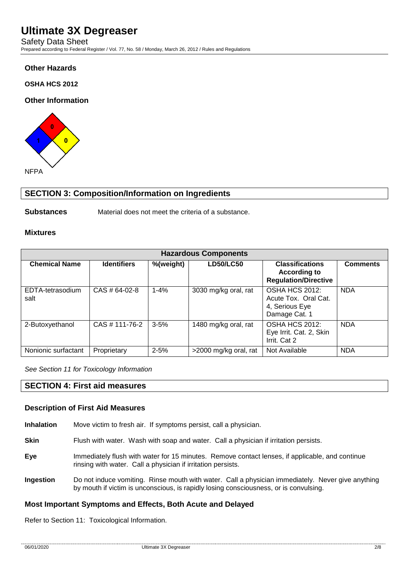Safety Data Sheet Prepared according to Federal Register / Vol. 77, No. 58 / Monday, March 26, 2012 / Rules and Regulations

## **Other Hazards**

### **OSHA HCS 2012**

### **Other Information**



# **SECTION 3: Composition/Information on Ingredients**

**Substances** Material does not meet the criteria of a substance.

### **Mixtures**

| <b>Hazardous Components</b> |                    |           |                       |                                                                              |                 |
|-----------------------------|--------------------|-----------|-----------------------|------------------------------------------------------------------------------|-----------------|
| <b>Chemical Name</b>        | <b>Identifiers</b> | %(weight) | <b>LD50/LC50</b>      | <b>Classifications</b><br><b>According to</b><br><b>Regulation/Directive</b> | <b>Comments</b> |
| EDTA-tetrasodium<br>salt    | CAS # 64-02-8      | $1 - 4%$  | 3030 mg/kg oral, rat  | OSHA HCS 2012:<br>Acute Tox. Oral Cat.<br>4, Serious Eye<br>Damage Cat. 1    | <b>NDA</b>      |
| 2-Butoxyethanol             | CAS # 111-76-2     | $3 - 5%$  | 1480 mg/kg oral, rat  | OSHA HCS 2012:<br>Eye Irrit. Cat. 2, Skin<br>Irrit. Cat 2                    | <b>NDA</b>      |
| Nonionic surfactant         | Proprietary        | $2 - 5%$  | >2000 mg/kg oral, rat | Not Available                                                                | <b>NDA</b>      |

*See Section 11 for Toxicology Information*

### **SECTION 4: First aid measures**

#### **Description of First Aid Measures**

**Inhalation** Move victim to fresh air. If symptoms persist, call a physician.

**Skin** Flush with water. Wash with soap and water. Call a physician if irritation persists.

- **Eye** Immediately flush with water for 15 minutes. Remove contact lenses, if applicable, and continue rinsing with water. Call a physician if irritation persists.
- **Ingestion** Do not induce vomiting. Rinse mouth with water. Call a physician immediately. Never give anything by mouth if victim is unconscious, is rapidly losing consciousness, or is convulsing.

### **Most Important Symptoms and Effects, Both Acute and Delayed**

Refer to Section 11: Toxicological Information.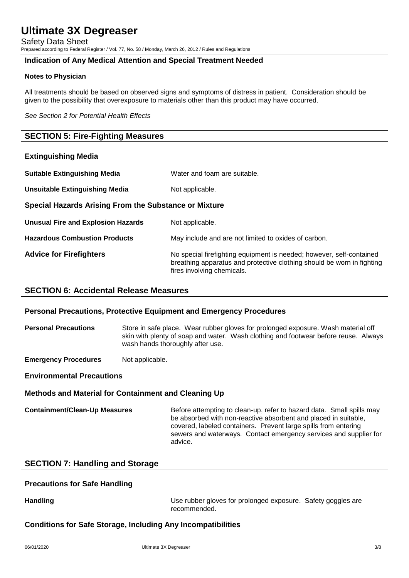Safety Data Sheet Prepared according to Federal Register / Vol. 77, No. 58 / Monday, March 26, 2012 / Rules and Regulations

### **Indication of Any Medical Attention and Special Treatment Needed**

### **Notes to Physician**

All treatments should be based on observed signs and symptoms of distress in patient. Consideration should be given to the possibility that overexposure to materials other than this product may have occurred.

*See Section 2 for Potential Health Effects*

### **SECTION 5: Fire-Fighting Measures**

| <b>Extinguishing Media</b>                            |                                                                                                                                                                              |  |  |
|-------------------------------------------------------|------------------------------------------------------------------------------------------------------------------------------------------------------------------------------|--|--|
| <b>Suitable Extinguishing Media</b>                   | Water and foam are suitable.                                                                                                                                                 |  |  |
| <b>Unsuitable Extinguishing Media</b>                 | Not applicable.                                                                                                                                                              |  |  |
| Special Hazards Arising From the Substance or Mixture |                                                                                                                                                                              |  |  |
| <b>Unusual Fire and Explosion Hazards</b>             | Not applicable.                                                                                                                                                              |  |  |
| <b>Hazardous Combustion Products</b>                  | May include and are not limited to oxides of carbon.                                                                                                                         |  |  |
| <b>Advice for Firefighters</b>                        | No special firefighting equipment is needed; however, self-contained<br>breathing apparatus and protective clothing should be worn in fighting<br>fires involving chemicals. |  |  |

### **SECTION 6: Accidental Release Measures**

#### **Personal Precautions, Protective Equipment and Emergency Procedures**

**Personal Precautions** Store in safe place. Wear rubber gloves for prolonged exposure. Wash material off skin with plenty of soap and water. Wash clothing and footwear before reuse. Always wash hands thoroughly after use.

**Emergency Procedures** Not applicable.

**Environmental Precautions**

### **Methods and Material for Containment and Cleaning Up**

**Containment/Clean-Up Measures** Before attempting to clean-up, refer to hazard data. Small spills may be absorbed with non-reactive absorbent and placed in suitable, covered, labeled containers. Prevent large spills from entering sewers and waterways. Contact emergency services and supplier for advice.

## **SECTION 7: Handling and Storage**

### **Precautions for Safe Handling**

**Handling Handling Example 20 Use rubber gloves for prolonged exposure. Safety goggles are** recommended.

### **Conditions for Safe Storage, Including Any Incompatibilities**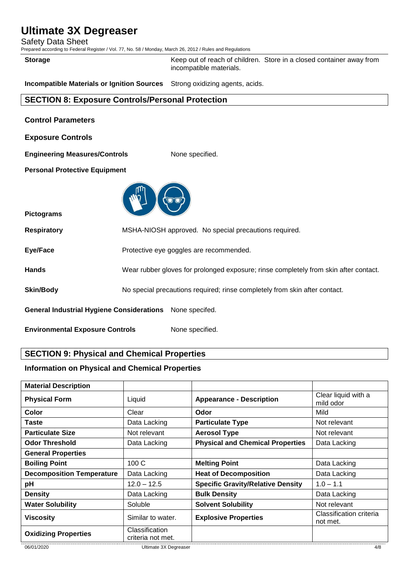Safety Data Sheet

Prepared according to Federal Register / Vol. 77, No. 58 / Monday, March 26, 2012 / Rules and Regulations

**Storage** Keep out of reach of children. Store in a closed container away from incompatible materials.

**Incompatible Materials or Ignition Sources** Strong oxidizing agents, acids.

# **SECTION 8: Exposure Controls/Personal Protection**

| <b>Control Parameters</b> |  |
|---------------------------|--|
|                           |  |

**Exposure Controls**

**Engineering Measures/Controls** None specified.

**Personal Protective Equipment**



**Pictograms**

**Respiratory** MSHA-NIOSH approved. No special precautions required.

**Eye/Face** Protective eye goggles are recommended.

**Hands** Wear rubber gloves for prolonged exposure; rinse completely from skin after contact.

**Skin/Body** No special precautions required; rinse completely from skin after contact.

**General Industrial Hygiene Considerations** None specifed.

**Environmental Exposure Controls** None specified.

# **SECTION 9: Physical and Chemical Properties**

### **Information on Physical and Chemical Properties**

| <b>Material Description</b>      |                                     |                                          |                                     |
|----------------------------------|-------------------------------------|------------------------------------------|-------------------------------------|
| <b>Physical Form</b>             | Liquid                              | <b>Appearance - Description</b>          | Clear liquid with a<br>mild odor    |
| Color                            | Clear                               | Odor                                     | Mild                                |
| Taste                            | Data Lacking                        | <b>Particulate Type</b>                  | Not relevant                        |
| <b>Particulate Size</b>          | Not relevant                        | <b>Aerosol Type</b>                      | Not relevant                        |
| <b>Odor Threshold</b>            | Data Lacking                        | <b>Physical and Chemical Properties</b>  | Data Lacking                        |
| <b>General Properties</b>        |                                     |                                          |                                     |
| <b>Boiling Point</b>             | 100 C                               | <b>Melting Point</b>                     | Data Lacking                        |
| <b>Decomposition Temperature</b> | Data Lacking                        | <b>Heat of Decomposition</b>             | Data Lacking                        |
| рH                               | $12.0 - 12.5$                       | <b>Specific Gravity/Relative Density</b> | $1.0 - 1.1$                         |
| <b>Density</b>                   | Data Lacking                        | <b>Bulk Density</b>                      | Data Lacking                        |
| <b>Water Solubility</b>          | Soluble                             | <b>Solvent Solubility</b>                | Not relevant                        |
| <b>Viscosity</b>                 | Similar to water.                   | <b>Explosive Properties</b>              | Classification criteria<br>not met. |
| <b>Oxidizing Properties</b>      | Classification<br>criteria not met. |                                          |                                     |
| 06/01/2020                       | Ultimate 3X Degreaser               |                                          | 4/8                                 |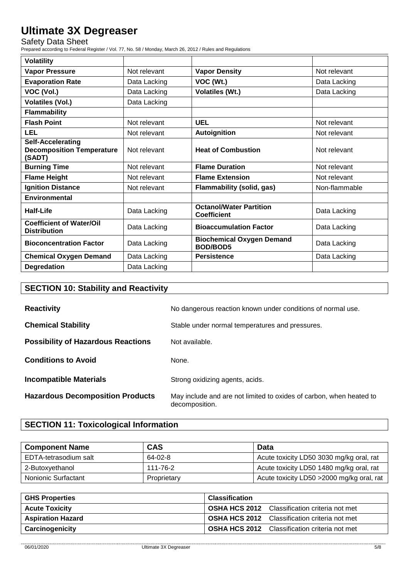Safety Data Sheet

Prepared according to Federal Register / Vol. 77, No. 58 / Monday, March 26, 2012 / Rules and Regulations

| <b>Volatility</b>                                                      |              |                                                      |               |
|------------------------------------------------------------------------|--------------|------------------------------------------------------|---------------|
| <b>Vapor Pressure</b>                                                  | Not relevant | <b>Vapor Density</b>                                 | Not relevant  |
| <b>Evaporation Rate</b>                                                | Data Lacking | VOC (Wt.)                                            | Data Lacking  |
| VOC (Vol.)                                                             | Data Lacking | <b>Volatiles (Wt.)</b>                               | Data Lacking  |
| <b>Volatiles (Vol.)</b>                                                | Data Lacking |                                                      |               |
| <b>Flammability</b>                                                    |              |                                                      |               |
| <b>Flash Point</b>                                                     | Not relevant | <b>UEL</b>                                           | Not relevant  |
| <b>LEL</b>                                                             | Not relevant | Autoignition                                         | Not relevant  |
| <b>Self-Accelerating</b><br><b>Decomposition Temperature</b><br>(SADT) | Not relevant | <b>Heat of Combustion</b>                            | Not relevant  |
| <b>Burning Time</b>                                                    | Not relevant | <b>Flame Duration</b>                                | Not relevant  |
| <b>Flame Height</b>                                                    | Not relevant | <b>Flame Extension</b>                               | Not relevant  |
| <b>Ignition Distance</b>                                               | Not relevant | <b>Flammability (solid, gas)</b>                     | Non-flammable |
| Environmental                                                          |              |                                                      |               |
| Half-Life                                                              | Data Lacking | <b>Octanol/Water Partition</b><br><b>Coefficient</b> | Data Lacking  |
| <b>Coefficient of Water/Oil</b><br><b>Distribution</b>                 | Data Lacking | <b>Bioaccumulation Factor</b>                        | Data Lacking  |
| <b>Bioconcentration Factor</b>                                         | Data Lacking | <b>Biochemical Oxygen Demand</b><br><b>BOD/BOD5</b>  | Data Lacking  |
| <b>Chemical Oxygen Demand</b>                                          | Data Lacking | <b>Persistence</b>                                   | Data Lacking  |
| Degredation                                                            | Data Lacking |                                                      |               |

# **SECTION 10: Stability and Reactivity**

| <b>Reactivity</b>                         | No dangerous reaction known under conditions of normal use.                           |
|-------------------------------------------|---------------------------------------------------------------------------------------|
| <b>Chemical Stability</b>                 | Stable under normal temperatures and pressures.                                       |
| <b>Possibility of Hazardous Reactions</b> | Not available.                                                                        |
| <b>Conditions to Avoid</b>                | None.                                                                                 |
| <b>Incompatible Materials</b>             | Strong oxidizing agents, acids.                                                       |
| <b>Hazardous Decomposition Products</b>   | May include and are not limited to oxides of carbon, when heated to<br>decomposition. |

# **SECTION 11: Toxicological Information**

| <b>Component Name</b> | <b>CAS</b>  | <b>Data</b>                                |
|-----------------------|-------------|--------------------------------------------|
| EDTA-tetrasodium salt | 64-02-8     | Acute toxicity LD50 3030 mg/kg oral, rat   |
| 2-Butoxyethanol       | 111-76-2    | Acute toxicity LD50 1480 mg/kg oral, rat   |
| Nonionic Surfactant   | Proprietary | Acute toxicity LD50 > 2000 mg/kg oral, rat |

| <b>GHS Properties</b>    | <b>Classification</b>                                |
|--------------------------|------------------------------------------------------|
| <b>Acute Toxicity</b>    | <b>OSHA HCS 2012</b> Classification criteria not met |
| <b>Aspiration Hazard</b> | <b>OSHA HCS 2012</b> Classification criteria not met |
| <b>Carcinogenicity</b>   | <b>OSHA HCS 2012</b> Classification criteria not met |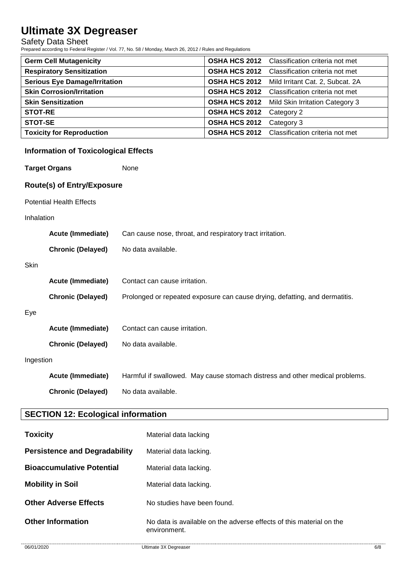Safety Data Sheet

Prepared according to Federal Register / Vol. 77, No. 58 / Monday, March 26, 2012 / Rules and Regulations

| <b>Germ Cell Mutagenicity</b>        |                      | <b>OSHA HCS 2012</b> Classification criteria not met |
|--------------------------------------|----------------------|------------------------------------------------------|
| <b>Respiratory Sensitization</b>     |                      | <b>OSHA HCS 2012</b> Classification criteria not met |
| <b>Serious Eye Damage/Irritation</b> |                      | OSHA HCS 2012 Mild Irritant Cat. 2, Subcat. 2A       |
| <b>Skin Corrosion/Irritation</b>     |                      | <b>OSHA HCS 2012</b> Classification criteria not met |
| <b>Skin Sensitization</b>            |                      | <b>OSHA HCS 2012</b> Mild Skin Irritation Category 3 |
| <b>STOT-RE</b>                       | <b>OSHA HCS 2012</b> | Category 2                                           |
| <b>STOT-SE</b>                       | <b>OSHA HCS 2012</b> | Category 3                                           |
| <b>Toxicity for Reproduction</b>     |                      | <b>OSHA HCS 2012</b> Classification criteria not met |

# **Information of Toxicological Effects**

**Target Organs** None

### **Route(s) of Entry/Exposure**

Potential Health Effects

### Inhalation

|           | Acute (Immediate)        | Can cause nose, throat, and respiratory tract irritation.                    |  |  |
|-----------|--------------------------|------------------------------------------------------------------------------|--|--|
|           | <b>Chronic (Delayed)</b> | No data available.                                                           |  |  |
| Skin      |                          |                                                                              |  |  |
|           | <b>Acute (Immediate)</b> | Contact can cause irritation.                                                |  |  |
|           | <b>Chronic (Delayed)</b> | Prolonged or repeated exposure can cause drying, defatting, and dermatitis.  |  |  |
| Eye       |                          |                                                                              |  |  |
|           | <b>Acute (Immediate)</b> | Contact can cause irritation.                                                |  |  |
|           | <b>Chronic (Delayed)</b> | No data available.                                                           |  |  |
| Ingestion |                          |                                                                              |  |  |
|           | <b>Acute (Immediate)</b> | Harmful if swallowed. May cause stomach distress and other medical problems. |  |  |
|           | <b>Chronic (Delayed)</b> | No data available.                                                           |  |  |

# **SECTION 12: Ecological information**

| <b>Toxicity</b>                      | Material data lacking                                                               |
|--------------------------------------|-------------------------------------------------------------------------------------|
| <b>Persistence and Degradability</b> | Material data lacking.                                                              |
| <b>Bioaccumulative Potential</b>     | Material data lacking.                                                              |
| <b>Mobility in Soil</b>              | Material data lacking.                                                              |
| <b>Other Adverse Effects</b>         | No studies have been found.                                                         |
| <b>Other Information</b>             | No data is available on the adverse effects of this material on the<br>environment. |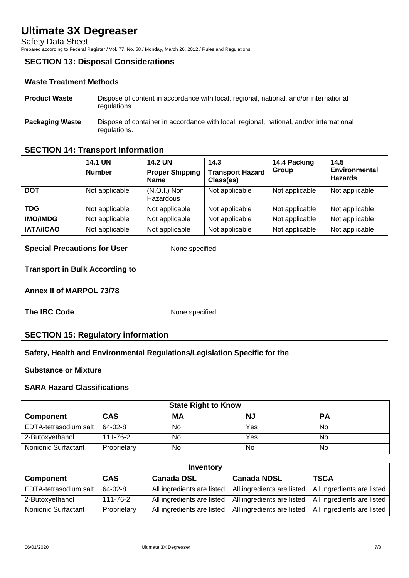Safety Data Sheet

Prepared according to Federal Register / Vol. 77, No. 58 / Monday, March 26, 2012 / Rules and Regulations

# **SECTION 13: Disposal Considerations**

### **Waste Treatment Methods**

- **Product Waste** Dispose of content in accordance with local, regional, national, and/or international regulations.
- **Packaging Waste** Dispose of container in accordance with local, regional, national, and/or international regulations.

# **SECTION 14: Transport Information**

|                  | <b>14.1 UN</b><br><b>Number</b> | <b>14.2 UN</b><br><b>Proper Shipping</b><br><b>Name</b> | 14.3<br><b>Transport Hazard</b><br>Class(es) | 14.4 Packing<br>Group | 14.5<br><b>Environmental</b><br><b>Hazards</b> |
|------------------|---------------------------------|---------------------------------------------------------|----------------------------------------------|-----------------------|------------------------------------------------|
| <b>DOT</b>       | Not applicable                  | $(N.O.I.)$ Non<br>Hazardous                             | Not applicable                               | Not applicable        | Not applicable                                 |
| <b>TDG</b>       | Not applicable                  | Not applicable                                          | Not applicable                               | Not applicable        | Not applicable                                 |
| <b>IMO/IMDG</b>  | Not applicable                  | Not applicable                                          | Not applicable                               | Not applicable        | Not applicable                                 |
| <b>IATA/ICAO</b> | Not applicable                  | Not applicable                                          | Not applicable                               | Not applicable        | Not applicable                                 |

### **Special Precautions for User** None specified.

**Transport in Bulk According to**

**Annex II of MARPOL 73/78**

**The IBC Code** None specified.

# **SECTION 15: Regulatory information**

## **Safety, Health and Environmental Regulations/Legislation Specific for the**

### **Substance or Mixture**

## **SARA Hazard Classifications**

| <b>State Right to Know</b> |             |     |           |           |  |
|----------------------------|-------------|-----|-----------|-----------|--|
| <b>Component</b>           | CAS         | МA  | <b>NJ</b> | <b>PA</b> |  |
| EDTA-tetrasodium salt      | 64-02-8     | No. | Yes       | No        |  |
| 2-Butoxyethanol            | 111-76-2    | No. | Yes       | No        |  |
| Nonionic Surfactant        | Proprietary | No  | No        | No        |  |

| Inventory             |             |                            |                            |                            |  |  |
|-----------------------|-------------|----------------------------|----------------------------|----------------------------|--|--|
| <b>Component</b>      | <b>CAS</b>  | <b>Canada DSL</b>          | <b>Canada NDSL</b>         | <b>TSCA</b>                |  |  |
| EDTA-tetrasodium salt | 64-02-8     | All ingredients are listed | All ingredients are listed | All ingredients are listed |  |  |
| 2-Butoxyethanol       | 111-76-2    | All ingredients are listed | All ingredients are listed | All ingredients are listed |  |  |
| Nonionic Surfactant   | Proprietary | All ingredients are listed | All ingredients are listed | All ingredients are listed |  |  |